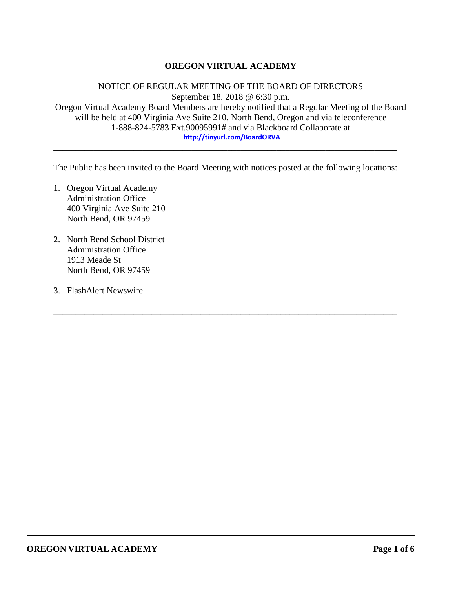# **OREGON VIRTUAL ACADEMY**

\_\_\_\_\_\_\_\_\_\_\_\_\_\_\_\_\_\_\_\_\_\_\_\_\_\_\_\_\_\_\_\_\_\_\_\_\_\_\_\_\_\_\_\_\_\_\_\_\_\_\_\_\_\_\_\_\_\_\_\_\_\_\_\_\_\_\_\_\_\_\_\_\_\_\_\_\_

NOTICE OF REGULAR MEETING OF THE BOARD OF DIRECTORS September 18, 2018 @ 6:30 p.m. Oregon Virtual Academy Board Members are hereby notified that a Regular Meeting of the Board will be held at 400 Virginia Ave Suite 210, North Bend, Oregon and via teleconference 1-888-824-5783 Ext.90095991# and via Blackboard Collaborate at **<http://tinyurl.com/BoardORVA>**

The Public has been invited to the Board Meeting with notices posted at the following locations:

\_\_\_\_\_\_\_\_\_\_\_\_\_\_\_\_\_\_\_\_\_\_\_\_\_\_\_\_\_\_\_\_\_\_\_\_\_\_\_\_\_\_\_\_\_\_\_\_\_\_\_\_\_\_\_\_\_\_\_\_\_\_\_\_\_\_\_\_\_\_\_\_\_\_\_\_\_

\_\_\_\_\_\_\_\_\_\_\_\_\_\_\_\_\_\_\_\_\_\_\_\_\_\_\_\_\_\_\_\_\_\_\_\_\_\_\_\_\_\_\_\_\_\_\_\_\_\_\_\_\_\_\_\_\_\_\_\_\_\_\_\_\_\_\_\_\_\_\_\_\_\_\_\_\_

- 1. Oregon Virtual Academy Administration Office 400 Virginia Ave Suite 210 North Bend, OR 97459
- 2. North Bend School District Administration Office 1913 Meade St North Bend, OR 97459
- 3. FlashAlert Newswire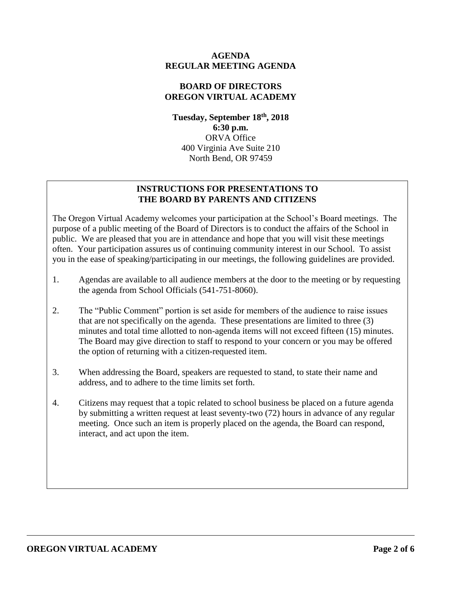## **AGENDA REGULAR MEETING AGENDA**

## **BOARD OF DIRECTORS OREGON VIRTUAL ACADEMY**

**Tuesday, September 18th , 2018 6:30 p.m.** ORVA Office 400 Virginia Ave Suite 210 North Bend, OR 97459

# **INSTRUCTIONS FOR PRESENTATIONS TO THE BOARD BY PARENTS AND CITIZENS**

The Oregon Virtual Academy welcomes your participation at the School's Board meetings. The purpose of a public meeting of the Board of Directors is to conduct the affairs of the School in public. We are pleased that you are in attendance and hope that you will visit these meetings often. Your participation assures us of continuing community interest in our School. To assist you in the ease of speaking/participating in our meetings, the following guidelines are provided.

- 1. Agendas are available to all audience members at the door to the meeting or by requesting the agenda from School Officials (541-751-8060).
- 2. The "Public Comment" portion is set aside for members of the audience to raise issues that are not specifically on the agenda. These presentations are limited to three (3) minutes and total time allotted to non-agenda items will not exceed fifteen (15) minutes. The Board may give direction to staff to respond to your concern or you may be offered the option of returning with a citizen-requested item.
- 3. When addressing the Board, speakers are requested to stand, to state their name and address, and to adhere to the time limits set forth.
- 4. Citizens may request that a topic related to school business be placed on a future agenda by submitting a written request at least seventy-two (72) hours in advance of any regular meeting. Once such an item is properly placed on the agenda, the Board can respond, interact, and act upon the item.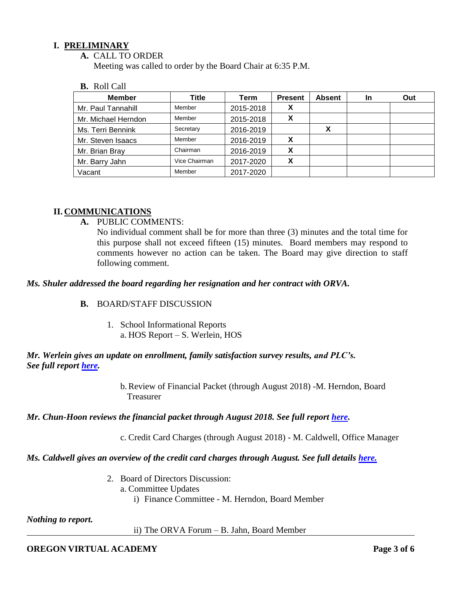### **I. PRELIMINARY**

#### **A.** CALL TO ORDER

Meeting was called to order by the Board Chair at 6:35 P.M.

#### **B.** Roll Call

| <b>Member</b>       | Title         | Term      | <b>Present</b> | <b>Absent</b> | <b>In</b> | Out |
|---------------------|---------------|-----------|----------------|---------------|-----------|-----|
| Mr. Paul Tannahill  | Member        | 2015-2018 |                |               |           |     |
| Mr. Michael Herndon | Member        | 2015-2018 | X              |               |           |     |
| Ms. Terri Bennink   | Secretary     | 2016-2019 |                |               |           |     |
| Mr. Steven Isaacs   | Member        | 2016-2019 |                |               |           |     |
| Mr. Brian Bray      | Chairman      | 2016-2019 | X              |               |           |     |
| Mr. Barry Jahn      | Vice Chairman | 2017-2020 | v              |               |           |     |
| Vacant              | Member        | 2017-2020 |                |               |           |     |

#### **II. COMMUNICATIONS**

**A.** PUBLIC COMMENTS:

No individual comment shall be for more than three (3) minutes and the total time for this purpose shall not exceed fifteen (15) minutes. Board members may respond to comments however no action can be taken. The Board may give direction to staff following comment.

#### *Ms. Shuler addressed the board regarding her resignation and her contract with ORVA.*

#### **B.** BOARD/STAFF DISCUSSION

1. School Informational Reports a. HOS Report – S. Werlein, HOS

## *Mr. Werlein gives an update on enrollment, family satisfaction survey results, and PLC's. See full report [here.](https://k12inc-my.sharepoint.com/:b:/g/personal/mecaldwell_oregonva_org/EckSP1LPA9tKqd6gFu94Pa4Bx5fTdHlASLDLU9Qu3okq8A?e=N87UKe)*

b.Review of Financial Packet (through August 2018) -M. Herndon, Board Treasurer

#### *Mr. Chun-Hoon reviews the financial packet through August 2018. See full report [here.](https://k12inc-my.sharepoint.com/:p:/g/personal/mecaldwell_oregonva_org/EXFL73nZrFdCg1o0WS7o3rQBjQsJvng0Vw8F-vn_ACrTag?e=fLCDCH)*

c. Credit Card Charges (through August 2018) - M. Caldwell, Office Manager

#### *Ms. Caldwell gives an overview of the credit card charges through August. See full details [here.](https://k12inc-my.sharepoint.com/:p:/g/personal/mecaldwell_oregonva_org/Eb6JRc_blORCtvQqiekJjkwB6Qwpqq91tGhC25-YY8QlZg?e=OcrN5z)*

2. Board of Directors Discussion: a. Committee Updates i) Finance Committee - M. Herndon, Board Member

#### *Nothing to report.*

ii) The ORVA Forum – B. Jahn, Board Member

# **OREGON VIRTUAL ACADEMY Page 3 of 6**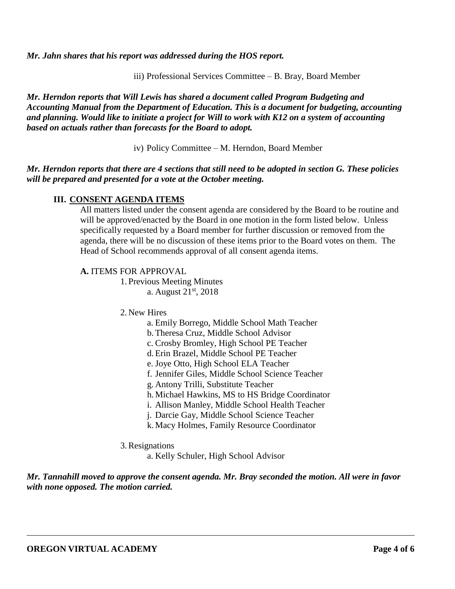*Mr. Jahn shares that his report was addressed during the HOS report.* 

iii) Professional Services Committee – B. Bray, Board Member

*Mr. Herndon reports that Will Lewis has shared a document called Program Budgeting and Accounting Manual from the Department of Education. This is a document for budgeting, accounting and planning. Would like to initiate a project for Will to work with K12 on a system of accounting based on actuals rather than forecasts for the Board to adopt.* 

iv) Policy Committee – M. Herndon, Board Member

## *Mr. Herndon reports that there are 4 sections that still need to be adopted in section G. These policies will be prepared and presented for a vote at the October meeting.*

## **III. CONSENT AGENDA ITEMS**

All matters listed under the consent agenda are considered by the Board to be routine and will be approved/enacted by the Board in one motion in the form listed below. Unless specifically requested by a Board member for further discussion or removed from the agenda, there will be no discussion of these items prior to the Board votes on them. The Head of School recommends approval of all consent agenda items.

#### **A.** ITEMS FOR APPROVAL

1. Previous Meeting Minutes a. August 21st, 2018

- 2. New Hires
	- a. Emily Borrego, Middle School Math Teacher
	- b.Theresa Cruz, Middle School Advisor
	- c. Crosby Bromley, High School PE Teacher
	- d.Erin Brazel, Middle School PE Teacher
	- e. Joye Otto, High School ELA Teacher
	- f. Jennifer Giles, Middle School Science Teacher
	- g. Antony Trilli, Substitute Teacher
	- h. Michael Hawkins, MS to HS Bridge Coordinator
	- i. Allison Manley, Middle School Health Teacher
	- j. Darcie Gay, Middle School Science Teacher
	- k. Macy Holmes, Family Resource Coordinator
- 3.Resignations

a. Kelly Schuler, High School Advisor

*Mr. Tannahill moved to approve the consent agenda. Mr. Bray seconded the motion. All were in favor with none opposed. The motion carried.*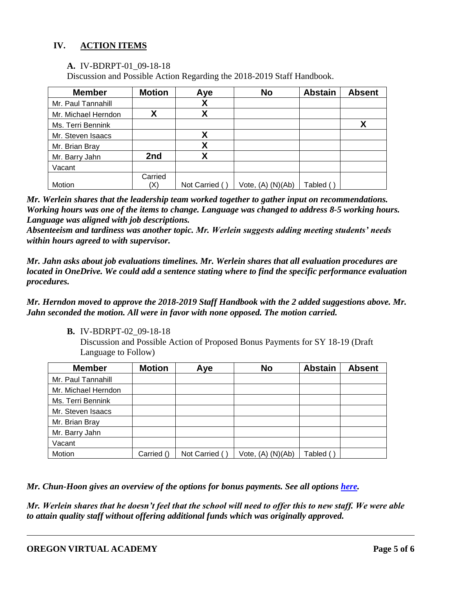# **IV. ACTION ITEMS**

#### **A.** IV-BDRPT-01\_09-18-18

Discussion and Possible Action Regarding the 2018-2019 Staff Handbook.

| <b>Member</b>       | <b>Motion</b> | Aye           | <b>No</b>         | <b>Abstain</b> | <b>Absent</b> |
|---------------------|---------------|---------------|-------------------|----------------|---------------|
| Mr. Paul Tannahill  |               | χ             |                   |                |               |
| Mr. Michael Herndon | χ             | χ             |                   |                |               |
| Ms. Terri Bennink   |               |               |                   |                | χ             |
| Mr. Steven Isaacs   |               | χ             |                   |                |               |
| Mr. Brian Bray      |               | X             |                   |                |               |
| Mr. Barry Jahn      | 2nd           | χ             |                   |                |               |
| Vacant              |               |               |                   |                |               |
|                     | Carried       |               |                   |                |               |
| Motion              | (X)           | Not Carried ( | Vote, (A) (N)(Ab) | Tabled         |               |

*Mr. Werlein shares that the leadership team worked together to gather input on recommendations. Working hours was one of the items to change. Language was changed to address 8-5 working hours. Language was aligned with job descriptions.* 

*Absenteeism and tardiness was another topic. Mr. Werlein suggests adding meeting students' needs within hours agreed to with supervisor.* 

*Mr. Jahn asks about job evaluations timelines. Mr. Werlein shares that all evaluation procedures are located in OneDrive. We could add a sentence stating where to find the specific performance evaluation procedures.*

## *Mr. Herndon moved to approve the 2018-2019 Staff Handbook with the 2 added suggestions above. Mr. Jahn seconded the motion. All were in favor with none opposed. The motion carried.*

**B.** IV-BDRPT-02\_09-18-18

Discussion and Possible Action of Proposed Bonus Payments for SY 18-19 (Draft Language to Follow)

| <b>Member</b>       | <b>Motion</b> | Aye           | <b>No</b>         | <b>Abstain</b> | <b>Absent</b> |
|---------------------|---------------|---------------|-------------------|----------------|---------------|
| Mr. Paul Tannahill  |               |               |                   |                |               |
| Mr. Michael Herndon |               |               |                   |                |               |
| Ms. Terri Bennink   |               |               |                   |                |               |
| Mr. Steven Isaacs   |               |               |                   |                |               |
| Mr. Brian Bray      |               |               |                   |                |               |
| Mr. Barry Jahn      |               |               |                   |                |               |
| Vacant              |               |               |                   |                |               |
| Motion              | Carried ()    | Not Carried ( | Vote, (A) (N)(Ab) | Tabled (       |               |

*Mr. Chun-Hoon gives an overview of the options for bonus payments. See all options [here.](https://k12inc-my.sharepoint.com/:b:/g/personal/mecaldwell_oregonva_org/EW1jYCC4YVBJq0czUsqrO68BbbrqggM4-5m6uDUAdkVC-w?e=JMQuvw)* 

*Mr. Werlein shares that he doesn't feel that the school will need to offer this to new staff. We were able to attain quality staff without offering additional funds which was originally approved.*